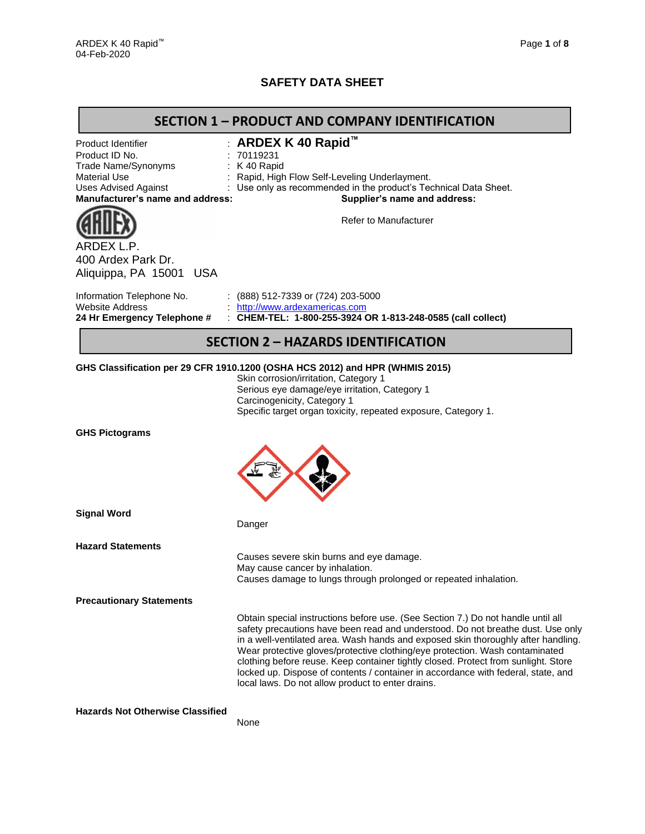## **SAFETY DATA SHEET**

## **SECTION 1 – PRODUCT AND COMPANY IDENTIFICATION**

| Product Identifier<br>Product ID No.                        | ARDEX K 40 Rapid™<br>70119231                                                                                                                                                                                                                                                                                                                                                                                                                                                                                                                                            |
|-------------------------------------------------------------|--------------------------------------------------------------------------------------------------------------------------------------------------------------------------------------------------------------------------------------------------------------------------------------------------------------------------------------------------------------------------------------------------------------------------------------------------------------------------------------------------------------------------------------------------------------------------|
| Trade Name/Synonyms                                         | : K 40 Rapid                                                                                                                                                                                                                                                                                                                                                                                                                                                                                                                                                             |
| <b>Material Use</b>                                         | Rapid, High Flow Self-Leveling Underlayment.                                                                                                                                                                                                                                                                                                                                                                                                                                                                                                                             |
| <b>Uses Advised Against</b>                                 | Use only as recommended in the product's Technical Data Sheet.                                                                                                                                                                                                                                                                                                                                                                                                                                                                                                           |
| Manufacturer's name and address:                            | Supplier's name and address:                                                                                                                                                                                                                                                                                                                                                                                                                                                                                                                                             |
|                                                             | <b>Refer to Manufacturer</b>                                                                                                                                                                                                                                                                                                                                                                                                                                                                                                                                             |
| ARDEX L.P.<br>400 Ardex Park Dr.<br>Aliquippa, PA 15001 USA |                                                                                                                                                                                                                                                                                                                                                                                                                                                                                                                                                                          |
| Information Telephone No.                                   | $(888)$ 512-7339 or (724) 203-5000                                                                                                                                                                                                                                                                                                                                                                                                                                                                                                                                       |
| <b>Website Address</b>                                      | http://www.ardexamericas.com                                                                                                                                                                                                                                                                                                                                                                                                                                                                                                                                             |
| 24 Hr Emergency Telephone #                                 | : CHEM-TEL: 1-800-255-3924 OR 1-813-248-0585 (call collect)                                                                                                                                                                                                                                                                                                                                                                                                                                                                                                              |
|                                                             | <b>SECTION 2 - HAZARDS IDENTIFICATION</b>                                                                                                                                                                                                                                                                                                                                                                                                                                                                                                                                |
|                                                             | GHS Classification per 29 CFR 1910.1200 (OSHA HCS 2012) and HPR (WHMIS 2015)                                                                                                                                                                                                                                                                                                                                                                                                                                                                                             |
|                                                             | Skin corrosion/irritation, Category 1                                                                                                                                                                                                                                                                                                                                                                                                                                                                                                                                    |
|                                                             | Serious eye damage/eye irritation, Category 1                                                                                                                                                                                                                                                                                                                                                                                                                                                                                                                            |
|                                                             | Carcinogenicity, Category 1                                                                                                                                                                                                                                                                                                                                                                                                                                                                                                                                              |
|                                                             | Specific target organ toxicity, repeated exposure, Category 1.                                                                                                                                                                                                                                                                                                                                                                                                                                                                                                           |
| <b>GHS Pictograms</b>                                       |                                                                                                                                                                                                                                                                                                                                                                                                                                                                                                                                                                          |
| <b>Signal Word</b>                                          | Danger                                                                                                                                                                                                                                                                                                                                                                                                                                                                                                                                                                   |
| <b>Hazard Statements</b>                                    |                                                                                                                                                                                                                                                                                                                                                                                                                                                                                                                                                                          |
|                                                             | Causes severe skin burns and eye damage.                                                                                                                                                                                                                                                                                                                                                                                                                                                                                                                                 |
|                                                             | May cause cancer by inhalation.                                                                                                                                                                                                                                                                                                                                                                                                                                                                                                                                          |
|                                                             | Causes damage to lungs through prolonged or repeated inhalation.                                                                                                                                                                                                                                                                                                                                                                                                                                                                                                         |
| <b>Precautionary Statements</b>                             |                                                                                                                                                                                                                                                                                                                                                                                                                                                                                                                                                                          |
|                                                             | Obtain special instructions before use. (See Section 7.) Do not handle until all<br>safety precautions have been read and understood. Do not breathe dust. Use only<br>in a well-ventilated area. Wash hands and exposed skin thoroughly after handling.<br>Wear protective gloves/protective clothing/eye protection. Wash contaminated<br>clothing before reuse. Keep container tightly closed. Protect from sunlight. Store<br>locked up. Dispose of contents / container in accordance with federal, state, and<br>local laws. Do not allow product to enter drains. |
| <b>Hazards Not Otherwise Classified</b>                     |                                                                                                                                                                                                                                                                                                                                                                                                                                                                                                                                                                          |

None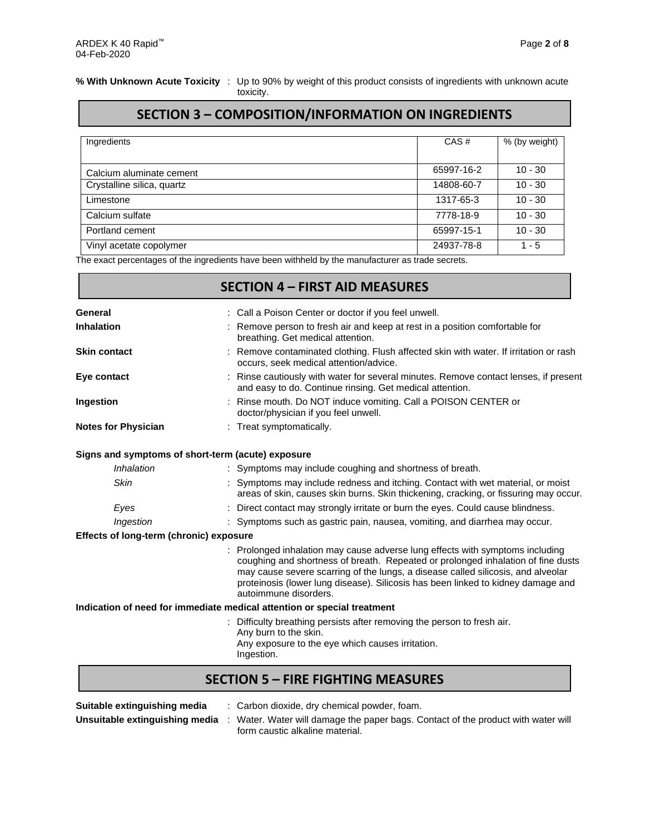Г

#### **% With Unknown Acute Toxicity** : Up to 90% by weight of this product consists of ingredients with unknown acute toxicity.

## **SECTION 3 – COMPOSITION/INFORMATION ON INGREDIENTS**

| Ingredients                | CAS#       | % (by weight) |
|----------------------------|------------|---------------|
|                            |            |               |
| Calcium aluminate cement   | 65997-16-2 | $10 - 30$     |
| Crystalline silica, quartz | 14808-60-7 | $10 - 30$     |
| Limestone                  | 1317-65-3  | $10 - 30$     |
| Calcium sulfate            | 7778-18-9  | $10 - 30$     |
| Portland cement            | 65997-15-1 | $10 - 30$     |
| Vinyl acetate copolymer    | 24937-78-8 | $1 - 5$       |

The exact percentages of the ingredients have been withheld by the manufacturer as trade secrets.

|                                         | <b>SECTION 4 - FIRST AID MEASURES</b>                                                                                                                                                                                                                                                                                                                            |
|-----------------------------------------|------------------------------------------------------------------------------------------------------------------------------------------------------------------------------------------------------------------------------------------------------------------------------------------------------------------------------------------------------------------|
| General                                 | : Call a Poison Center or doctor if you feel unwell.                                                                                                                                                                                                                                                                                                             |
| <b>Inhalation</b>                       | Remove person to fresh air and keep at rest in a position comfortable for<br>breathing. Get medical attention.                                                                                                                                                                                                                                                   |
| <b>Skin contact</b>                     | Remove contaminated clothing. Flush affected skin with water. If irritation or rash<br>occurs, seek medical attention/advice.                                                                                                                                                                                                                                    |
| Eye contact                             | Rinse cautiously with water for several minutes. Remove contact lenses, if present<br>and easy to do. Continue rinsing. Get medical attention.                                                                                                                                                                                                                   |
| Ingestion                               | : Rinse mouth. Do NOT induce vomiting. Call a POISON CENTER or<br>doctor/physician if you feel unwell.                                                                                                                                                                                                                                                           |
| <b>Notes for Physician</b>              | : Treat symptomatically.                                                                                                                                                                                                                                                                                                                                         |
|                                         | Signs and symptoms of short-term (acute) exposure                                                                                                                                                                                                                                                                                                                |
| Inhalation                              | : Symptoms may include coughing and shortness of breath.                                                                                                                                                                                                                                                                                                         |
| Skin                                    | Symptoms may include redness and itching. Contact with wet material, or moist<br>areas of skin, causes skin burns. Skin thickening, cracking, or fissuring may occur.                                                                                                                                                                                            |
| Eyes                                    | : Direct contact may strongly irritate or burn the eyes. Could cause blindness.                                                                                                                                                                                                                                                                                  |
| Ingestion                               | : Symptoms such as gastric pain, nausea, vomiting, and diarrhea may occur.                                                                                                                                                                                                                                                                                       |
| Effects of long-term (chronic) exposure |                                                                                                                                                                                                                                                                                                                                                                  |
|                                         | Prolonged inhalation may cause adverse lung effects with symptoms including<br>coughing and shortness of breath. Repeated or prolonged inhalation of fine dusts<br>may cause severe scarring of the lungs, a disease called silicosis, and alveolar<br>proteinosis (lower lung disease). Silicosis has been linked to kidney damage and<br>autoimmune disorders. |
|                                         | Indication of need for immediate medical attention or special treatment                                                                                                                                                                                                                                                                                          |
|                                         | Difficulty breathing persists after removing the person to fresh air.<br>Any burn to the skin.<br>Any exposure to the eye which causes irritation.<br>Ingestion.                                                                                                                                                                                                 |
|                                         | <b>SECTION 5 - FIRE FIGHTING MEASURES</b>                                                                                                                                                                                                                                                                                                                        |
| Suitable extinguishing media            | : Carbon dioxide, dry chemical powder, foam.                                                                                                                                                                                                                                                                                                                     |

| <b>Panapio Uninguioning mound</b> | . Cancon dioxido, ary chomical powder, redim.                                                                    |
|-----------------------------------|------------------------------------------------------------------------------------------------------------------|
|                                   | Unsuitable extinguishing media : Water. Water will damage the paper bags. Contact of the product with water will |
|                                   | form caustic alkaline material.                                                                                  |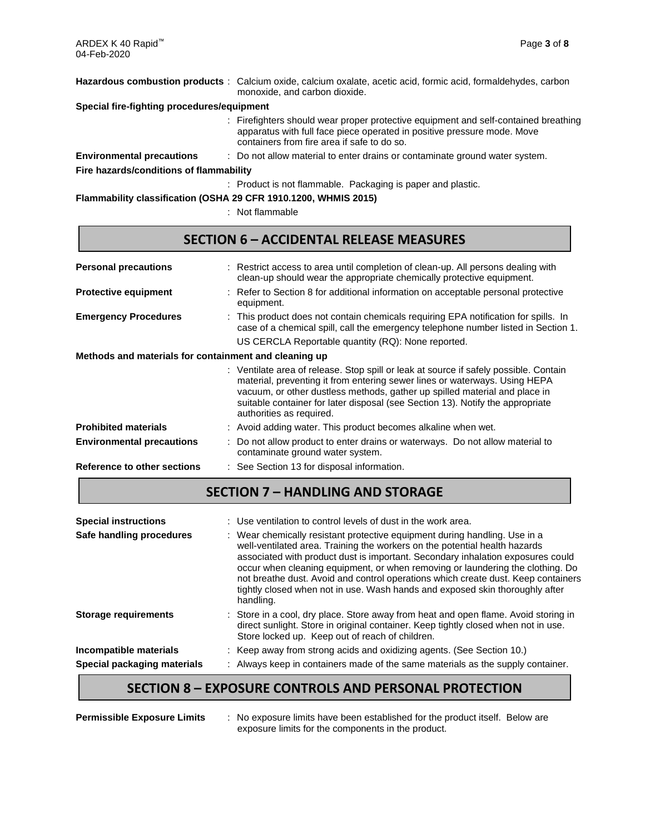|                                            | Hazardous combustion products: Calcium oxide, calcium oxalate, acetic acid, formic acid, formaldehydes, carbon<br>monoxide, and carbon dioxide.                                                               |
|--------------------------------------------|---------------------------------------------------------------------------------------------------------------------------------------------------------------------------------------------------------------|
| Special fire-fighting procedures/equipment |                                                                                                                                                                                                               |
|                                            | : Firefighters should wear proper protective equipment and self-contained breathing<br>apparatus with full face piece operated in positive pressure mode. Move<br>containers from fire area if safe to do so. |
| <b>Environmental precautions</b>           | : Do not allow material to enter drains or contaminate ground water system.                                                                                                                                   |
| Fire hazards/conditions of flammability    |                                                                                                                                                                                                               |
|                                            | : Product is not flammable. Packaging is paper and plastic.                                                                                                                                                   |

**Flammability classification (OSHA 29 CFR 1910.1200, WHMIS 2015)**

: Not flammable

## **SECTION 6 – ACCIDENTAL RELEASE MEASURES**

| <b>Personal precautions</b>                           | : Restrict access to area until completion of clean-up. All persons dealing with<br>clean-up should wear the appropriate chemically protective equipment.                                                                                                                                                                                                       |
|-------------------------------------------------------|-----------------------------------------------------------------------------------------------------------------------------------------------------------------------------------------------------------------------------------------------------------------------------------------------------------------------------------------------------------------|
| <b>Protective equipment</b>                           | : Refer to Section 8 for additional information on acceptable personal protective<br>equipment.                                                                                                                                                                                                                                                                 |
| <b>Emergency Procedures</b>                           | : This product does not contain chemicals requiring EPA notification for spills. In<br>case of a chemical spill, call the emergency telephone number listed in Section 1.                                                                                                                                                                                       |
|                                                       | US CERCLA Reportable quantity (RQ): None reported.                                                                                                                                                                                                                                                                                                              |
| Methods and materials for containment and cleaning up |                                                                                                                                                                                                                                                                                                                                                                 |
|                                                       | : Ventilate area of release. Stop spill or leak at source if safely possible. Contain<br>material, preventing it from entering sewer lines or waterways. Using HEPA<br>vacuum, or other dustless methods, gather up spilled material and place in<br>suitable container for later disposal (see Section 13). Notify the appropriate<br>authorities as required. |
| <b>Prohibited materials</b>                           | : Avoid adding water. This product becomes alkaline when wet.                                                                                                                                                                                                                                                                                                   |
| <b>Environmental precautions</b>                      | : Do not allow product to enter drains or waterways. Do not allow material to<br>contaminate ground water system.                                                                                                                                                                                                                                               |
|                                                       | $\sim$ $\sim$ $\sim$ $\sim$ $\sim$ $\sim$ $\sim$                                                                                                                                                                                                                                                                                                                |

- **Reference to other sections** : See Section 13 for disposal information.
	- **SECTION 7 – HANDLING AND STORAGE**

| <b>Special instructions</b><br>Safe handling procedures | : Use ventilation to control levels of dust in the work area.<br>: Wear chemically resistant protective equipment during handling. Use in a<br>well-ventilated area. Training the workers on the potential health hazards<br>associated with product dust is important. Secondary inhalation exposures could<br>occur when cleaning equipment, or when removing or laundering the clothing. Do<br>not breathe dust. Avoid and control operations which create dust. Keep containers<br>tightly closed when not in use. Wash hands and exposed skin thoroughly after<br>handling. |
|---------------------------------------------------------|----------------------------------------------------------------------------------------------------------------------------------------------------------------------------------------------------------------------------------------------------------------------------------------------------------------------------------------------------------------------------------------------------------------------------------------------------------------------------------------------------------------------------------------------------------------------------------|
| <b>Storage requirements</b>                             | : Store in a cool, dry place. Store away from heat and open flame. Avoid storing in<br>direct sunlight. Store in original container. Keep tightly closed when not in use.<br>Store locked up. Keep out of reach of children.                                                                                                                                                                                                                                                                                                                                                     |
| Incompatible materials                                  | : Keep away from strong acids and oxidizing agents. (See Section 10.)                                                                                                                                                                                                                                                                                                                                                                                                                                                                                                            |
| Special packaging materials                             | : Always keep in containers made of the same materials as the supply container.                                                                                                                                                                                                                                                                                                                                                                                                                                                                                                  |

# **SECTION 8 – EXPOSURE CONTROLS AND PERSONAL PROTECTION**

|  | <b>Permissible Exposure Limits</b> |
|--|------------------------------------|
|--|------------------------------------|

: No exposure limits have been established for the product itself. Below are exposure limits for the components in the product.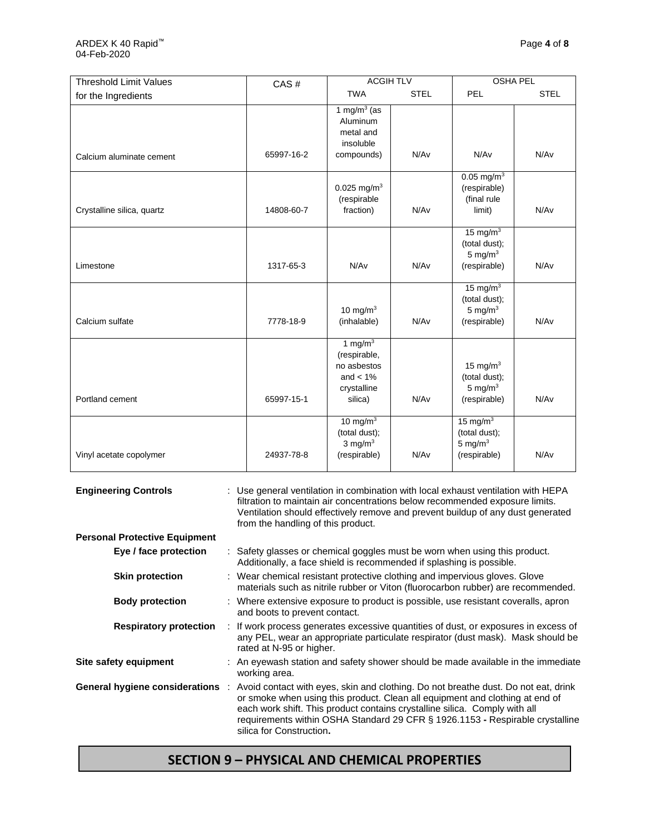| <b>Threshold Limit Values</b> | CAS#       | <b>ACGIH TLV</b>                                                                   |             | <b>OSHA PEL</b>                                                   |             |
|-------------------------------|------------|------------------------------------------------------------------------------------|-------------|-------------------------------------------------------------------|-------------|
| for the Ingredients           |            | <b>TWA</b>                                                                         | <b>STEL</b> | <b>PEL</b>                                                        | <b>STEL</b> |
| Calcium aluminate cement      | 65997-16-2 | 1 mg/m $3$ (as<br>Aluminum<br>metal and<br>insoluble<br>compounds)                 | N/Av        | N/Av                                                              | N/Av        |
|                               |            |                                                                                    |             |                                                                   |             |
| Crystalline silica, quartz    | 14808-60-7 | 0.025 mg/m <sup>3</sup><br>(respirable<br>fraction)                                | N/Av        | $0.05$ mg/m <sup>3</sup><br>(respirable)<br>(final rule<br>limit) | N/Av        |
| Limestone                     | 1317-65-3  | N/Av                                                                               | N/Av        | 15 mg/m $3$<br>(total dust);<br>5 mg/ $m3$<br>(respirable)        | N/Av        |
| Calcium sulfate               | 7778-18-9  | 10 mg/m $3$<br>(inhalable)                                                         | N/Av        | 15 mg/m $3$<br>(total dust);<br>5 mg/ $m3$<br>(respirable)        | N/Av        |
| Portland cement               | 65997-15-1 | 1 mg/m $3$<br>(respirable,<br>no asbestos<br>and $< 1\%$<br>crystalline<br>silica) | N/Av        | 15 mg/m $3$<br>(total dust);<br>5 mg/ $m3$<br>(respirable)        | N/Av        |
| Vinyl acetate copolymer       | 24937-78-8 | 10 mg/m $3$<br>(total dust);<br>$3$ mg/m <sup>3</sup><br>(respirable)              | N/Av        | 15 mg/ $m3$<br>(total dust);<br>5 mg/ $m3$<br>(respirable)        | N/Av        |

| <b>Engineering Controls</b>          | : Use general ventilation in combination with local exhaust ventilation with HEPA<br>filtration to maintain air concentrations below recommended exposure limits.<br>Ventilation should effectively remove and prevent buildup of any dust generated<br>from the handling of this product.                                                                    |  |  |
|--------------------------------------|---------------------------------------------------------------------------------------------------------------------------------------------------------------------------------------------------------------------------------------------------------------------------------------------------------------------------------------------------------------|--|--|
| <b>Personal Protective Equipment</b> |                                                                                                                                                                                                                                                                                                                                                               |  |  |
| Eye / face protection                | : Safety glasses or chemical goggles must be worn when using this product.<br>Additionally, a face shield is recommended if splashing is possible.                                                                                                                                                                                                            |  |  |
| <b>Skin protection</b>               | : Wear chemical resistant protective clothing and impervious gloves. Glove<br>materials such as nitrile rubber or Viton (fluorocarbon rubber) are recommended.                                                                                                                                                                                                |  |  |
| <b>Body protection</b>               | : Where extensive exposure to product is possible, use resistant coveralls, apron<br>and boots to prevent contact.                                                                                                                                                                                                                                            |  |  |
| <b>Respiratory protection</b>        | : If work process generates excessive quantities of dust, or exposures in excess of<br>any PEL, wear an appropriate particulate respirator (dust mask). Mask should be<br>rated at N-95 or higher.                                                                                                                                                            |  |  |
| Site safety equipment                | : An eyewash station and safety shower should be made available in the immediate<br>working area.                                                                                                                                                                                                                                                             |  |  |
| General hygiene considerations :     | Avoid contact with eyes, skin and clothing. Do not breathe dust. Do not eat, drink<br>or smoke when using this product. Clean all equipment and clothing at end of<br>each work shift. This product contains crystalline silica. Comply with all<br>requirements within OSHA Standard 29 CFR § 1926.1153 - Respirable crystalline<br>silica for Construction. |  |  |

## **SECTION 9 – PHYSICAL AND CHEMICAL PROPERTIES**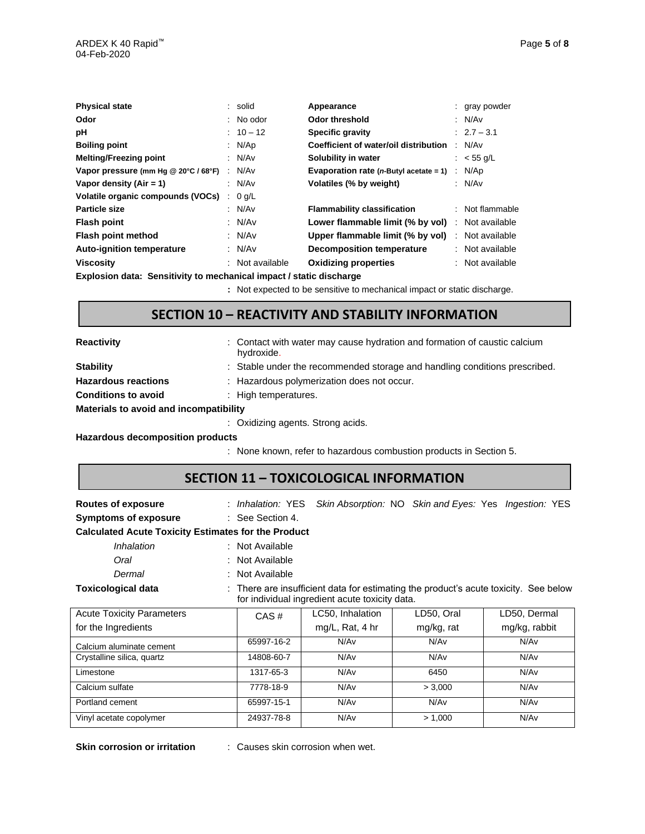| <b>Physical state</b>                                                                                         |        | : solid         | Appearance                                 |  | : gray powder          |
|---------------------------------------------------------------------------------------------------------------|--------|-----------------|--------------------------------------------|--|------------------------|
| Odor                                                                                                          |        | $:$ No odor     | Odor threshold                             |  | : N/Av                 |
| рH                                                                                                            |        | $: 10 - 12$     | <b>Specific gravity</b>                    |  | $\therefore$ 2.7 – 3.1 |
| <b>Boiling point</b>                                                                                          |        | : $N/Ap$        | Coefficient of water/oil distribution      |  | : $N/Av$               |
| <b>Melting/Freezing point</b>                                                                                 |        | : $N/Av$        | Solubility in water                        |  | : $<$ 55 g/L           |
| Vapor pressure (mm Hg @ 20°C / 68°F)                                                                          |        | : N/Av          | Evaporation rate ( $n$ -Butyl acetate = 1) |  | : N/Ap                 |
| Vapor density $(Air = 1)$                                                                                     |        | : N/Av          | Volatiles (% by weight)                    |  | : N/Av                 |
| Volatile organic compounds (VOCs)                                                                             | $\sim$ | $0$ g/L         |                                            |  |                        |
| Particle size                                                                                                 |        | : $N/Av$        | <b>Flammability classification</b>         |  | : Not flammable        |
| <b>Flash point</b>                                                                                            |        | : $N/Av$        | Lower flammable limit (% by vol)           |  | : Not available        |
| Flash point method                                                                                            |        | : $N/Av$        | Upper flammable limit (% by vol)           |  | : Not available        |
| <b>Auto-ignition temperature</b>                                                                              |        | : $N/Av$        | <b>Decomposition temperature</b>           |  | : Not available        |
| <b>Viscosity</b>                                                                                              |        | : Not available | <b>Oxidizing properties</b>                |  | $:$ Not available      |
| ■ ……   continued in the control of the control of the control of the control of the control of the control of |        |                 |                                            |  |                        |

**Explosion data: Sensitivity to mechanical impact / static discharge**

**:** Not expected to be sensitive to mechanical impact or static discharge.

## **SECTION 10 – REACTIVITY AND STABILITY INFORMATION**

| <b>Reactivity</b>                      | : Contact with water may cause hydration and formation of caustic calcium<br>hydroxide. |
|----------------------------------------|-----------------------------------------------------------------------------------------|
| <b>Stability</b>                       | : Stable under the recommended storage and handling conditions prescribed.              |
| <b>Hazardous reactions</b>             | : Hazardous polymerization does not occur.                                              |
| <b>Conditions to avoid</b>             | : High temperatures.                                                                    |
| Materials to avoid and incompatibility |                                                                                         |
|                                        | : Oxidizing agents. Strong acids.                                                       |
|                                        |                                                                                         |

**Hazardous decomposition products**

: None known, refer to hazardous combustion products in Section 5.

### **SECTION 11 – TOXICOLOGICAL INFORMATION**

| <b>Routes of exposure</b>                                                                                                                                           |                  | : Inhalation: YES Skin Absorption: NO Skin and Eyes: Yes Ingestion: YES |            |               |  |  |  |  |
|---------------------------------------------------------------------------------------------------------------------------------------------------------------------|------------------|-------------------------------------------------------------------------|------------|---------------|--|--|--|--|
| <b>Symptoms of exposure</b>                                                                                                                                         | : See Section 4. |                                                                         |            |               |  |  |  |  |
| <b>Calculated Acute Toxicity Estimates for the Product</b>                                                                                                          |                  |                                                                         |            |               |  |  |  |  |
| <i><b>Inhalation</b></i>                                                                                                                                            | : Not Available  |                                                                         |            |               |  |  |  |  |
| Oral                                                                                                                                                                | : Not Available  |                                                                         |            |               |  |  |  |  |
| Dermal                                                                                                                                                              | : Not Available  |                                                                         |            |               |  |  |  |  |
| <b>Toxicological data</b><br>: There are insufficient data for estimating the product's acute toxicity. See below<br>for individual ingredient acute toxicity data. |                  |                                                                         |            |               |  |  |  |  |
| <b>Acute Toxicity Parameters</b>                                                                                                                                    | $CAS \#$         | LC50, Inhalation                                                        | LD50, Oral | LD50, Dermal  |  |  |  |  |
| for the Ingredients                                                                                                                                                 |                  | $mg/L$ , Rat, 4 hr                                                      | mg/kg, rat | mg/kg, rabbit |  |  |  |  |
| Calcium aluminate cement                                                                                                                                            | 65997-16-2       | N/Av                                                                    | N/Av       | N/Av          |  |  |  |  |
| Crystalline silica, quartz                                                                                                                                          | 14808-60-7       | N/Av                                                                    | N/Av       | N/Av          |  |  |  |  |
| Limestone                                                                                                                                                           | 1317-65-3        | N/Av                                                                    | 6450       | N/Av          |  |  |  |  |
| Calcium sulfate                                                                                                                                                     | 7778-18-9        | N/Av                                                                    | > 3,000    | N/Av          |  |  |  |  |
| Portland cement                                                                                                                                                     | 65997-15-1       | N/Av                                                                    | N/Av       | N/Av          |  |  |  |  |
| Vinyl acetate copolymer                                                                                                                                             | 24937-78-8       | N/Av                                                                    | > 1,000    | N/Av          |  |  |  |  |

**Skin corrosion or irritation** : Causes skin corrosion when wet.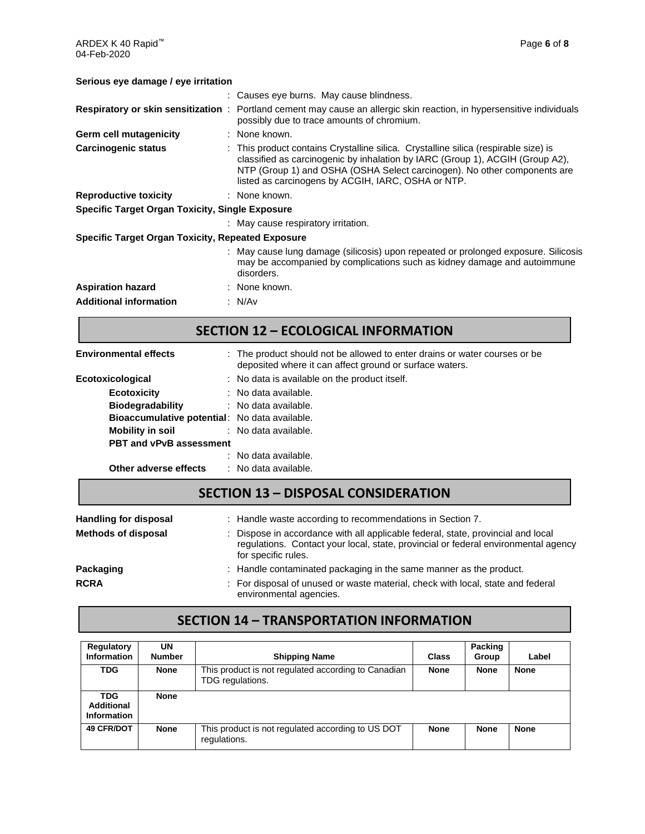ARDEX K 40 Rapid™ Page **6** of **8** 04-Feb-2020

#### **Serious eye damage / eye irritation**

|                                                          | : Causes eye burns. May cause blindness.                                                                                                                                                                                                                                                               |  |  |
|----------------------------------------------------------|--------------------------------------------------------------------------------------------------------------------------------------------------------------------------------------------------------------------------------------------------------------------------------------------------------|--|--|
|                                                          | Respiratory or skin sensitization : Portland cement may cause an allergic skin reaction, in hypersensitive individuals<br>possibly due to trace amounts of chromium.                                                                                                                                   |  |  |
| Germ cell mutagenicity                                   | : None known.                                                                                                                                                                                                                                                                                          |  |  |
| <b>Carcinogenic status</b>                               | : This product contains Crystalline silica. Crystalline silica (respirable size) is<br>classified as carcinogenic by inhalation by IARC (Group 1), ACGIH (Group A2),<br>NTP (Group 1) and OSHA (OSHA Select carcinogen). No other components are<br>listed as carcinogens by ACGIH, IARC, OSHA or NTP. |  |  |
| <b>Reproductive toxicity</b>                             | : None known.                                                                                                                                                                                                                                                                                          |  |  |
| <b>Specific Target Organ Toxicity, Single Exposure</b>   |                                                                                                                                                                                                                                                                                                        |  |  |
|                                                          | : May cause respiratory irritation.                                                                                                                                                                                                                                                                    |  |  |
| <b>Specific Target Organ Toxicity, Repeated Exposure</b> |                                                                                                                                                                                                                                                                                                        |  |  |
|                                                          | : May cause lung damage (silicosis) upon repeated or prolonged exposure. Silicosis<br>may be accompanied by complications such as kidney damage and autoimmune<br>disorders.                                                                                                                           |  |  |
| <b>Aspiration hazard</b>                                 | : None known.                                                                                                                                                                                                                                                                                          |  |  |
| <b>Additional information</b>                            | : N/Av                                                                                                                                                                                                                                                                                                 |  |  |

# **SECTION 12 – ECOLOGICAL INFORMATION**

| <b>Environmental effects</b>                         | : The product should not be allowed to enter drains or water courses or be<br>deposited where it can affect ground or surface waters. |
|------------------------------------------------------|---------------------------------------------------------------------------------------------------------------------------------------|
| Ecotoxicological                                     | : No data is available on the product itself.                                                                                         |
| <b>Ecotoxicity</b>                                   | : No data available.                                                                                                                  |
| <b>Biodegradability</b>                              | : No data available.                                                                                                                  |
| <b>Bioaccumulative potential:</b> No data available. |                                                                                                                                       |
| <b>Mobility in soil</b>                              | : No data available.                                                                                                                  |
| <b>PBT and vPvB assessment</b>                       |                                                                                                                                       |
|                                                      | : No data available.                                                                                                                  |
| Other adverse effects                                | : No data available.                                                                                                                  |

## **SECTION 13 – DISPOSAL CONSIDERATION**

| <b>Handling for disposal</b> | : Handle waste according to recommendations in Section 7.                                                                                                                                     |
|------------------------------|-----------------------------------------------------------------------------------------------------------------------------------------------------------------------------------------------|
| <b>Methods of disposal</b>   | : Dispose in accordance with all applicable federal, state, provincial and local<br>regulations. Contact your local, state, provincial or federal environmental agency<br>for specific rules. |
| Packaging                    | : Handle contaminated packaging in the same manner as the product.                                                                                                                            |
| <b>RCRA</b>                  | : For disposal of unused or waste material, check with local, state and federal<br>environmental agencies.                                                                                    |

## **SECTION 14 – TRANSPORTATION INFORMATION**

| <b>Regulatory</b><br>Information                      | UN<br><b>Number</b> | <b>Shipping Name</b>                                                    | <b>Class</b> | Packing<br>Group | Label       |
|-------------------------------------------------------|---------------------|-------------------------------------------------------------------------|--------------|------------------|-------------|
| TDG                                                   | <b>None</b>         | This product is not regulated according to Canadian<br>TDG regulations. | <b>None</b>  | <b>None</b>      | <b>None</b> |
| <b>TDG</b><br><b>Additional</b><br><b>Information</b> | <b>None</b>         |                                                                         |              |                  |             |
| <b>49 CFR/DOT</b>                                     | <b>None</b>         | This product is not regulated according to US DOT<br>regulations.       | <b>None</b>  | <b>None</b>      | <b>None</b> |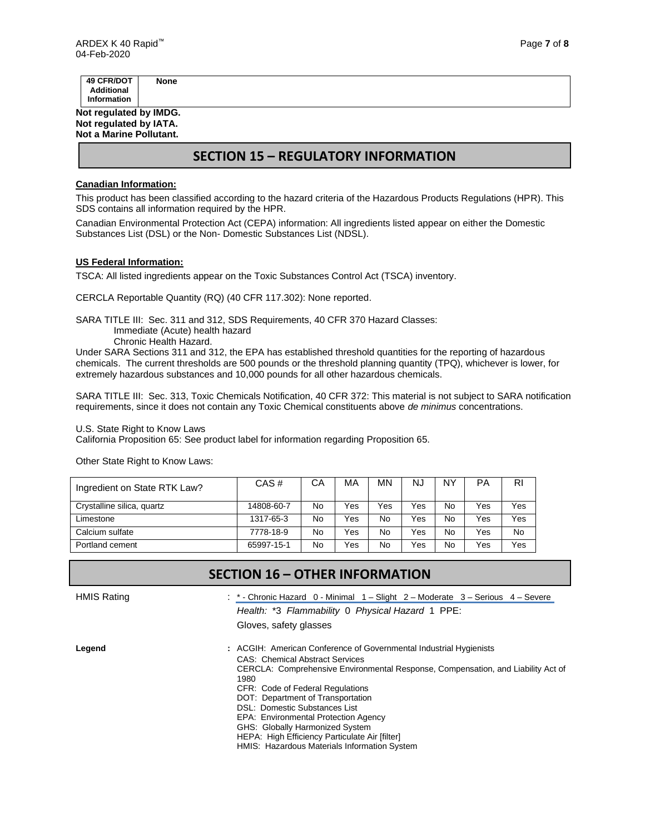| None |
|------|
|      |
|      |
|      |

**Not regulated by IMDG. Not regulated by IATA. Not a Marine Pollutant.**

## **SECTION 15 – REGULATORY INFORMATION**

#### **Canadian Information:**

This product has been classified according to the hazard criteria of the Hazardous Products Regulations (HPR). This SDS contains all information required by the HPR.

Canadian Environmental Protection Act (CEPA) information: All ingredients listed appear on either the Domestic Substances List (DSL) or the Non- Domestic Substances List (NDSL).

#### **US Federal Information:**

TSCA: All listed ingredients appear on the Toxic Substances Control Act (TSCA) inventory.

CERCLA Reportable Quantity (RQ) (40 CFR 117.302): None reported.

SARA TITLE III: Sec. 311 and 312, SDS Requirements, 40 CFR 370 Hazard Classes:

Immediate (Acute) health hazard

Chronic Health Hazard.

Under SARA Sections 311 and 312, the EPA has established threshold quantities for the reporting of hazardous chemicals. The current thresholds are 500 pounds or the threshold planning quantity (TPQ), whichever is lower, for extremely hazardous substances and 10,000 pounds for all other hazardous chemicals.

SARA TITLE III: Sec. 313, Toxic Chemicals Notification, 40 CFR 372: This material is not subject to SARA notification requirements, since it does not contain any Toxic Chemical constituents above *de minimus* concentrations.

U.S. State Right to Know Laws

California Proposition 65: See product label for information regarding Proposition 65.

Other State Right to Know Laws:

| Ingredient on State RTK Law? | CAS#       | CА | MA  | <b>MN</b> | <b>NJ</b> | NΥ        | РA  | RI  |
|------------------------------|------------|----|-----|-----------|-----------|-----------|-----|-----|
| Crystalline silica, quartz   | 14808-60-7 | No | Yes | Yes       | Yes       | <b>No</b> | Yes | Yes |
| Limestone                    | 1317-65-3  | No | Yes | No        | Yes       | No        | Yes | Yes |
| Calcium sulfate              | 7778-18-9  | No | Yes | No        | Yes       | No        | Yes | No  |
| Portland cement              | 65997-15-1 | No | Yes | No        | Yes       | <b>No</b> | Yes | Yes |

### **SECTION 16 – OTHER INFORMATION**

HMIS Rating **: \*** - Chronic Hazard 0 - Minimal 1 – Slight 2 – Moderate 3 – Serious 4 – Severe *Health:* \*3 *Flammability* 0 *Physical Hazard* 1 PPE:

Gloves, safety glasses

**Legend :** ACGIH: American Conference of Governmental Industrial Hygienists CAS: Chemical Abstract Services CERCLA: Comprehensive Environmental Response, Compensation, and Liability Act of 1980 CFR: Code of Federal Regulations DOT: Department of Transportation DSL: Domestic Substances List EPA: Environmental Protection Agency GHS: Globally Harmonized System HEPA: High Efficiency Particulate Air [filter] HMIS: Hazardous Materials Information System